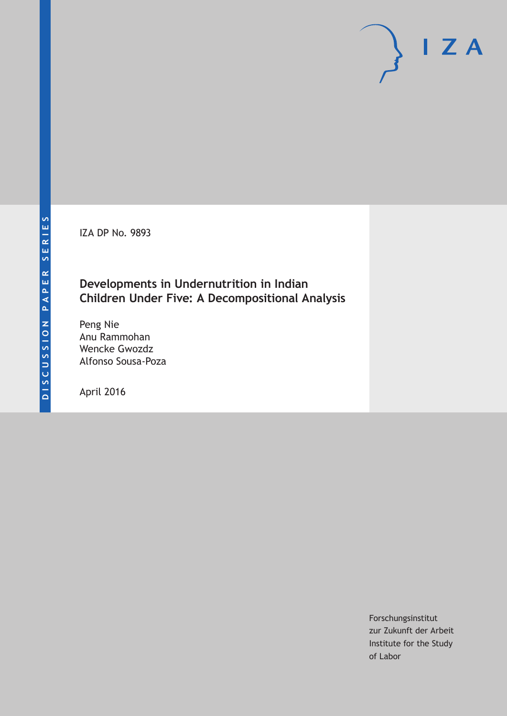IZA DP No. 9893

## **Developments in Undernutrition in Indian Children Under Five: A Decompositional Analysis**

Peng Nie Anu Rammohan Wencke Gwozdz Alfonso Sousa-Poza

April 2016

Forschungsinstitut zur Zukunft der Arbeit Institute for the Study of Labor

 $I Z A$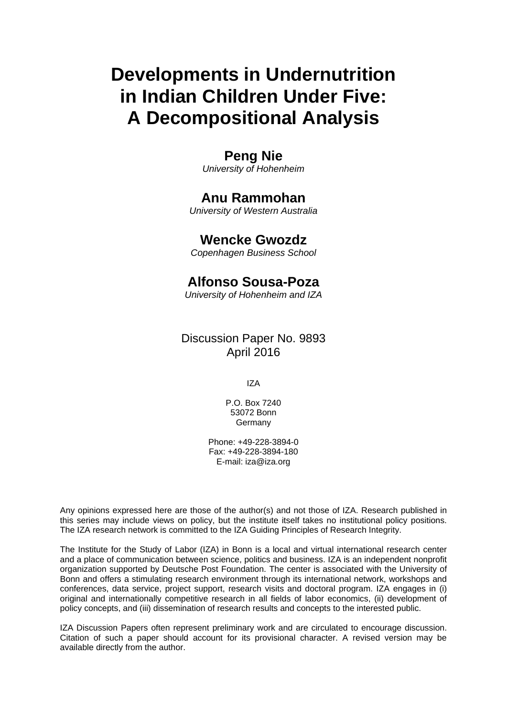# **Developments in Undernutrition in Indian Children Under Five: A Decompositional Analysis**

## **Peng Nie**

*University of Hohenheim* 

## **Anu Rammohan**

*University of Western Australia* 

## **Wencke Gwozdz**

*Copenhagen Business School*

## **Alfonso Sousa-Poza**

*University of Hohenheim and IZA* 

### Discussion Paper No. 9893 April 2016

IZA

P.O. Box 7240 53072 Bonn **Germany** 

Phone: +49-228-3894-0 Fax: +49-228-3894-180 E-mail: iza@iza.org

Any opinions expressed here are those of the author(s) and not those of IZA. Research published in this series may include views on policy, but the institute itself takes no institutional policy positions. The IZA research network is committed to the IZA Guiding Principles of Research Integrity.

The Institute for the Study of Labor (IZA) in Bonn is a local and virtual international research center and a place of communication between science, politics and business. IZA is an independent nonprofit organization supported by Deutsche Post Foundation. The center is associated with the University of Bonn and offers a stimulating research environment through its international network, workshops and conferences, data service, project support, research visits and doctoral program. IZA engages in (i) original and internationally competitive research in all fields of labor economics, (ii) development of policy concepts, and (iii) dissemination of research results and concepts to the interested public.

IZA Discussion Papers often represent preliminary work and are circulated to encourage discussion. Citation of such a paper should account for its provisional character. A revised version may be available directly from the author.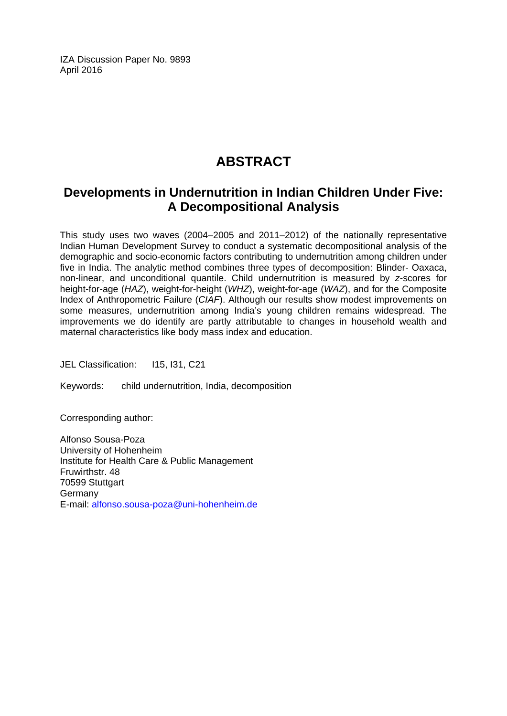IZA Discussion Paper No. 9893 April 2016

## **ABSTRACT**

## **Developments in Undernutrition in Indian Children Under Five: A Decompositional Analysis**

This study uses two waves (2004–2005 and 2011–2012) of the nationally representative Indian Human Development Survey to conduct a systematic decompositional analysis of the demographic and socio-economic factors contributing to undernutrition among children under five in India. The analytic method combines three types of decomposition: Blinder- Oaxaca, non-linear, and unconditional quantile. Child undernutrition is measured by *z*-scores for height-for-age (*HAZ*), weight-for-height (*WHZ*), weight-for-age (*WAZ*), and for the Composite Index of Anthropometric Failure (*CIAF*). Although our results show modest improvements on some measures, undernutrition among India's young children remains widespread. The improvements we do identify are partly attributable to changes in household wealth and maternal characteristics like body mass index and education.

JEL Classification: I15, I31, C21

Keywords: child undernutrition, India, decomposition

Corresponding author:

Alfonso Sousa-Poza University of Hohenheim Institute for Health Care & Public Management Fruwirthstr. 48 70599 Stuttgart Germany E-mail: alfonso.sousa-poza@uni-hohenheim.de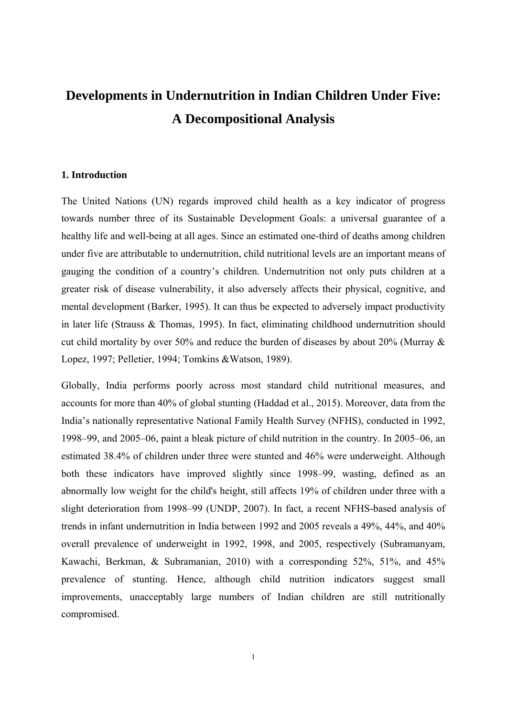## **Developments in Undernutrition in Indian Children Under Five: A Decompositional Analysis**

#### **1. Introduction**

The United Nations (UN) regards improved child health as a key indicator of progress towards number three of its Sustainable Development Goals: a universal guarantee of a healthy life and well-being at all ages. Since an estimated one-third of deaths among children under five are attributable to undernutrition, child nutritional levels are an important means of gauging the condition of a country's children. Undernutrition not only puts children at a greater risk of disease vulnerability, it also adversely affects their physical, cognitive, and mental development (Barker, 1995). It can thus be expected to adversely impact productivity in later life (Strauss & Thomas, 1995). In fact, eliminating childhood undernutrition should cut child mortality by over 50% and reduce the burden of diseases by about 20% (Murray & Lopez, 1997; Pelletier, 1994; Tomkins &Watson, 1989).

Globally, India performs poorly across most standard child nutritional measures, and accounts for more than 40% of global stunting (Haddad et al., 2015). Moreover, data from the India's nationally representative National Family Health Survey (NFHS), conducted in 1992, 1998–99, and 2005–06, paint a bleak picture of child nutrition in the country. In 2005–06, an estimated 38.4% of children under three were stunted and 46% were underweight. Although both these indicators have improved slightly since 1998–99, wasting, defined as an abnormally low weight for the child's height, still affects 19% of children under three with a slight deterioration from 1998–99 (UNDP, 2007). In fact, a recent NFHS-based analysis of trends in infant undernutrition in India between 1992 and 2005 reveals a 49%, 44%, and 40% overall prevalence of underweight in 1992, 1998, and 2005, respectively (Subramanyam, Kawachi, Berkman, & Subramanian, 2010) with a corresponding 52%, 51%, and 45% prevalence of stunting. Hence, although child nutrition indicators suggest small improvements, unacceptably large numbers of Indian children are still nutritionally compromised.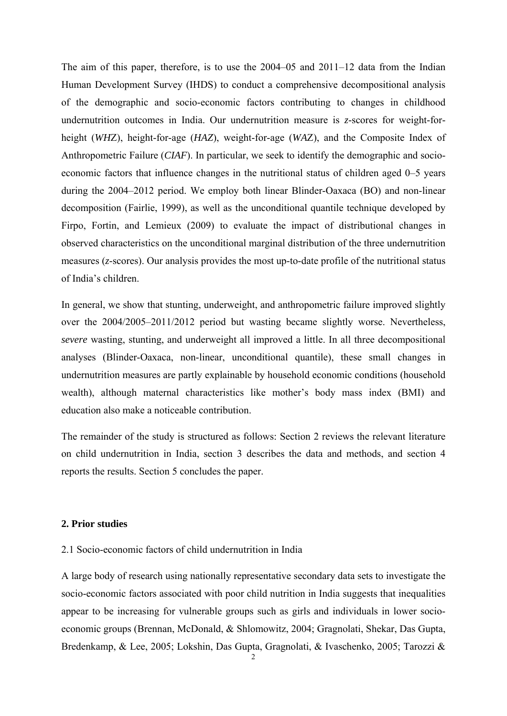The aim of this paper, therefore, is to use the 2004–05 and 2011–12 data from the Indian Human Development Survey (IHDS) to conduct a comprehensive decompositional analysis of the demographic and socio-economic factors contributing to changes in childhood undernutrition outcomes in India. Our undernutrition measure is *z*-scores for weight-forheight (*WH*Z), height-for-age (*HAZ*), weight-for-age (*WA*Z), and the Composite Index of Anthropometric Failure (*CIAF*). In particular, we seek to identify the demographic and socioeconomic factors that influence changes in the nutritional status of children aged 0–5 years during the 2004–2012 period. We employ both linear Blinder-Oaxaca (BO) and non-linear decomposition (Fairlie, 1999), as well as the unconditional quantile technique developed by Firpo, Fortin, and Lemieux (2009) to evaluate the impact of distributional changes in observed characteristics on the unconditional marginal distribution of the three undernutrition measures (*z*-scores). Our analysis provides the most up-to-date profile of the nutritional status of India's children.

In general, we show that stunting, underweight, and anthropometric failure improved slightly over the 2004/2005–2011/2012 period but wasting became slightly worse. Nevertheless, *severe* wasting, stunting, and underweight all improved a little. In all three decompositional analyses (Blinder-Oaxaca, non-linear, unconditional quantile), these small changes in undernutrition measures are partly explainable by household economic conditions (household wealth), although maternal characteristics like mother's body mass index (BMI) and education also make a noticeable contribution.

The remainder of the study is structured as follows: Section 2 reviews the relevant literature on child undernutrition in India, section 3 describes the data and methods, and section 4 reports the results. Section 5 concludes the paper.

#### **2. Prior studies**

#### 2.1 Socio-economic factors of child undernutrition in India

A large body of research using nationally representative secondary data sets to investigate the socio-economic factors associated with poor child nutrition in India suggests that inequalities appear to be increasing for vulnerable groups such as girls and individuals in lower socioeconomic groups (Brennan, McDonald, & Shlomowitz, 2004; Gragnolati, Shekar, Das Gupta, Bredenkamp, & Lee, 2005; Lokshin, Das Gupta, Gragnolati, & Ivaschenko, 2005; Tarozzi &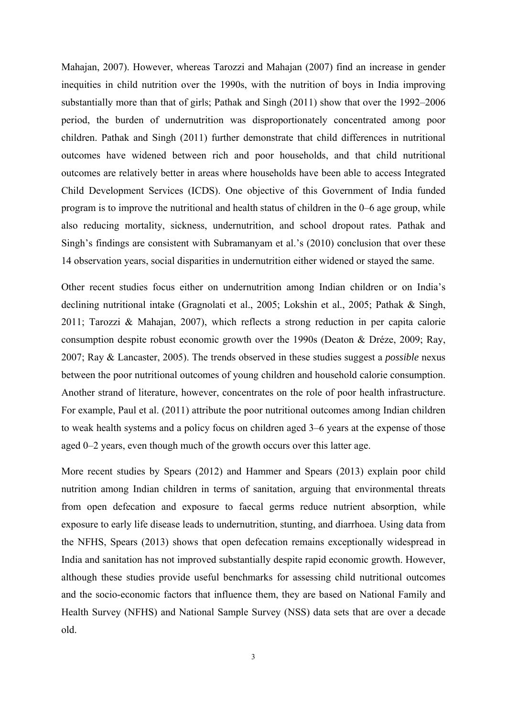Mahajan, 2007). However, whereas Tarozzi and Mahajan (2007) find an increase in gender inequities in child nutrition over the 1990s, with the nutrition of boys in India improving substantially more than that of girls; Pathak and Singh (2011) show that over the 1992–2006 period, the burden of undernutrition was disproportionately concentrated among poor children. Pathak and Singh (2011) further demonstrate that child differences in nutritional outcomes have widened between rich and poor households, and that child nutritional outcomes are relatively better in areas where households have been able to access Integrated Child Development Services (ICDS). One objective of this Government of India funded program is to improve the nutritional and health status of children in the 0–6 age group, while also reducing mortality, sickness, undernutrition, and school dropout rates. Pathak and Singh's findings are consistent with Subramanyam et al.'s (2010) conclusion that over these 14 observation years, social disparities in undernutrition either widened or stayed the same.

Other recent studies focus either on undernutrition among Indian children or on India's declining nutritional intake (Gragnolati et al., 2005; Lokshin et al., 2005; Pathak & Singh, 2011; Tarozzi & Mahajan, 2007), which reflects a strong reduction in per capita calorie consumption despite robust economic growth over the 1990s (Deaton & Dréze, 2009; Ray, 2007; Ray & Lancaster, 2005). The trends observed in these studies suggest a *possible* nexus between the poor nutritional outcomes of young children and household calorie consumption. Another strand of literature, however, concentrates on the role of poor health infrastructure. For example, Paul et al. (2011) attribute the poor nutritional outcomes among Indian children to weak health systems and a policy focus on children aged 3–6 years at the expense of those aged 0–2 years, even though much of the growth occurs over this latter age.

More recent studies by Spears (2012) and Hammer and Spears (2013) explain poor child nutrition among Indian children in terms of sanitation, arguing that environmental threats from open defecation and exposure to faecal germs reduce nutrient absorption, while exposure to early life disease leads to undernutrition, stunting, and diarrhoea. Using data from the NFHS, Spears (2013) shows that open defecation remains exceptionally widespread in India and sanitation has not improved substantially despite rapid economic growth. However, although these studies provide useful benchmarks for assessing child nutritional outcomes and the socio-economic factors that influence them, they are based on National Family and Health Survey (NFHS) and National Sample Survey (NSS) data sets that are over a decade old.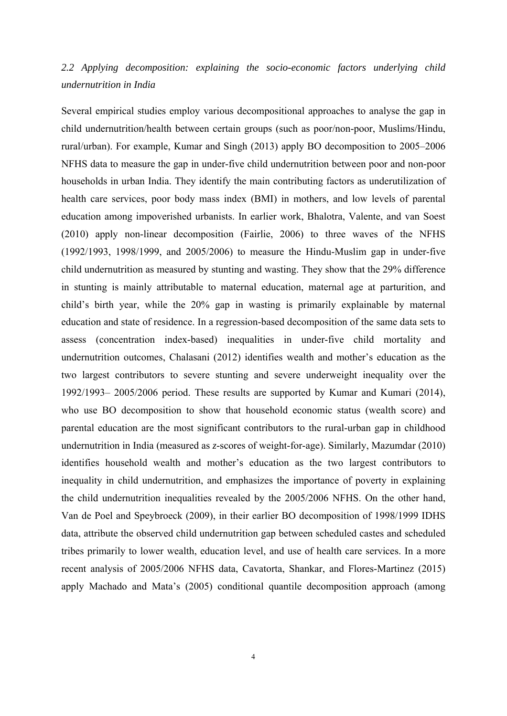## *2.2 Applying decomposition: explaining the socio-economic factors underlying child undernutrition in India*

Several empirical studies employ various decompositional approaches to analyse the gap in child undernutrition/health between certain groups (such as poor/non-poor, Muslims/Hindu, rural/urban). For example, Kumar and Singh (2013) apply BO decomposition to 2005–2006 NFHS data to measure the gap in under-five child undernutrition between poor and non-poor households in urban India. They identify the main contributing factors as underutilization of health care services, poor body mass index (BMI) in mothers, and low levels of parental education among impoverished urbanists. In earlier work, Bhalotra, Valente, and van Soest (2010) apply non-linear decomposition (Fairlie, 2006) to three waves of the NFHS (1992/1993, 1998/1999, and 2005/2006) to measure the Hindu-Muslim gap in under-five child undernutrition as measured by stunting and wasting. They show that the 29% difference in stunting is mainly attributable to maternal education, maternal age at parturition, and child's birth year, while the 20% gap in wasting is primarily explainable by maternal education and state of residence. In a regression-based decomposition of the same data sets to assess (concentration index-based) inequalities in under-five child mortality and undernutrition outcomes, Chalasani (2012) identifies wealth and mother's education as the two largest contributors to severe stunting and severe underweight inequality over the 1992/1993– 2005/2006 period. These results are supported by Kumar and Kumari (2014), who use BO decomposition to show that household economic status (wealth score) and parental education are the most significant contributors to the rural-urban gap in childhood undernutrition in India (measured as *z*-scores of weight-for-age). Similarly, Mazumdar (2010) identifies household wealth and mother's education as the two largest contributors to inequality in child undernutrition, and emphasizes the importance of poverty in explaining the child undernutrition inequalities revealed by the 2005/2006 NFHS. On the other hand, Van de Poel and Speybroeck (2009), in their earlier BO decomposition of 1998/1999 IDHS data, attribute the observed child undernutrition gap between scheduled castes and scheduled tribes primarily to lower wealth, education level, and use of health care services. In a more recent analysis of 2005/2006 NFHS data, Cavatorta, Shankar, and Flores-Martinez (2015) apply Machado and Mata's (2005) conditional quantile decomposition approach (among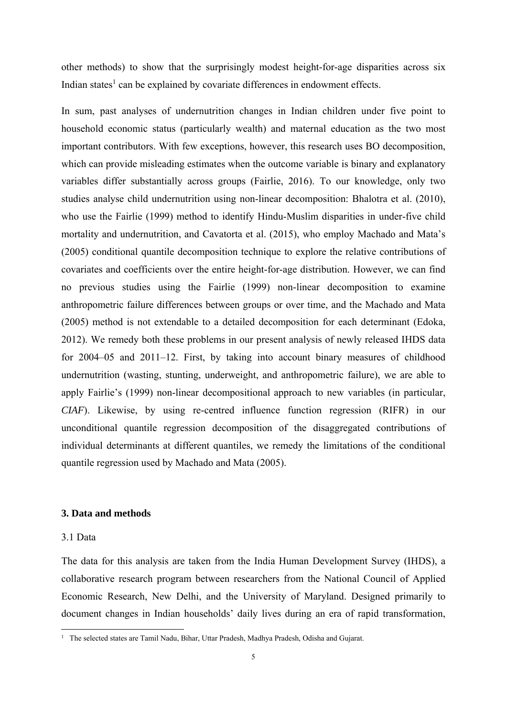other methods) to show that the surprisingly modest height-for-age disparities across six Indian states<sup>1</sup> can be explained by covariate differences in endowment effects.

In sum, past analyses of undernutrition changes in Indian children under five point to household economic status (particularly wealth) and maternal education as the two most important contributors. With few exceptions, however, this research uses BO decomposition, which can provide misleading estimates when the outcome variable is binary and explanatory variables differ substantially across groups (Fairlie, 2016). To our knowledge, only two studies analyse child undernutrition using non-linear decomposition: Bhalotra et al. (2010), who use the Fairlie (1999) method to identify Hindu-Muslim disparities in under-five child mortality and undernutrition, and Cavatorta et al. (2015), who employ Machado and Mata's (2005) conditional quantile decomposition technique to explore the relative contributions of covariates and coefficients over the entire height-for-age distribution. However, we can find no previous studies using the Fairlie (1999) non-linear decomposition to examine anthropometric failure differences between groups or over time, and the Machado and Mata (2005) method is not extendable to a detailed decomposition for each determinant (Edoka, 2012). We remedy both these problems in our present analysis of newly released IHDS data for 2004–05 and 2011–12. First, by taking into account binary measures of childhood undernutrition (wasting, stunting, underweight, and anthropometric failure), we are able to apply Fairlie's (1999) non-linear decompositional approach to new variables (in particular, *CIAF*). Likewise, by using re-centred influence function regression (RIFR) in our unconditional quantile regression decomposition of the disaggregated contributions of individual determinants at different quantiles, we remedy the limitations of the conditional quantile regression used by Machado and Mata (2005).

#### **3. Data and methods**

#### 3.1 Data

The data for this analysis are taken from the India Human Development Survey (IHDS), a collaborative research program between researchers from the National Council of Applied Economic Research, New Delhi, and the University of Maryland. Designed primarily to document changes in Indian households' daily lives during an era of rapid transformation,

<sup>&</sup>lt;sup>1</sup> The selected states are Tamil Nadu, Bihar, Uttar Pradesh, Madhya Pradesh, Odisha and Gujarat.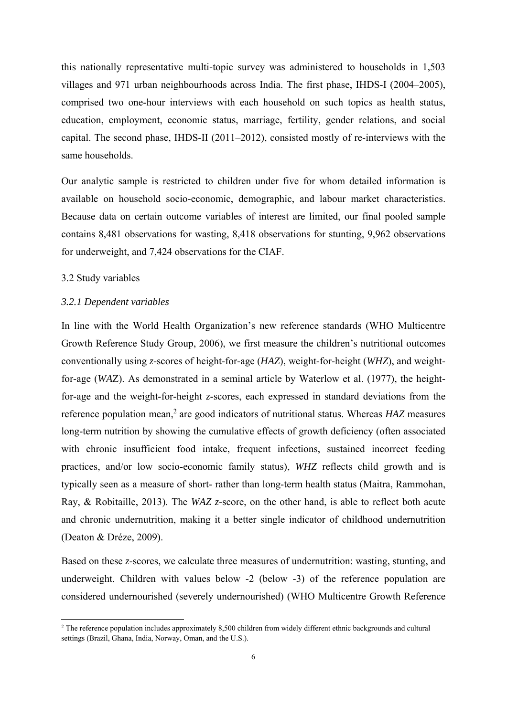this nationally representative multi-topic survey was administered to households in 1,503 villages and 971 urban neighbourhoods across India. The first phase, IHDS-I (2004–2005), comprised two one-hour interviews with each household on such topics as health status, education, employment, economic status, marriage, fertility, gender relations, and social capital. The second phase, IHDS-II (2011–2012), consisted mostly of re-interviews with the same households.

Our analytic sample is restricted to children under five for whom detailed information is available on household socio-economic, demographic, and labour market characteristics. Because data on certain outcome variables of interest are limited, our final pooled sample contains 8,481 observations for wasting, 8,418 observations for stunting, 9,962 observations for underweight, and 7,424 observations for the CIAF.

#### 3.2 Study variables

#### *3.2.1 Dependent variables*

In line with the World Health Organization's new reference standards (WHO Multicentre Growth Reference Study Group, 2006), we first measure the children's nutritional outcomes conventionally using *z*-scores of height-for-age (*HAZ*), weight-for-height (*WHZ*), and weightfor-age (*WA*Z). As demonstrated in a seminal article by Waterlow et al. (1977), the heightfor-age and the weight-for-height *z*-scores, each expressed in standard deviations from the reference population mean,<sup>2</sup> are good indicators of nutritional status. Whereas *HAZ* measures long-term nutrition by showing the cumulative effects of growth deficiency (often associated with chronic insufficient food intake, frequent infections, sustained incorrect feeding practices, and/or low socio-economic family status), *WHZ* reflects child growth and is typically seen as a measure of short- rather than long-term health status (Maitra, Rammohan, Ray, & Robitaille, 2013). The *WAZ z*-score, on the other hand, is able to reflect both acute and chronic undernutrition, making it a better single indicator of childhood undernutrition (Deaton & Dréze, 2009).

Based on these *z*-scores, we calculate three measures of undernutrition: wasting, stunting, and underweight. Children with values below -2 (below -3) of the reference population are considered undernourished (severely undernourished) (WHO Multicentre Growth Reference

<sup>&</sup>lt;sup>2</sup> The reference population includes approximately 8,500 children from widely different ethnic backgrounds and cultural settings (Brazil, Ghana, India, Norway, Oman, and the U.S.).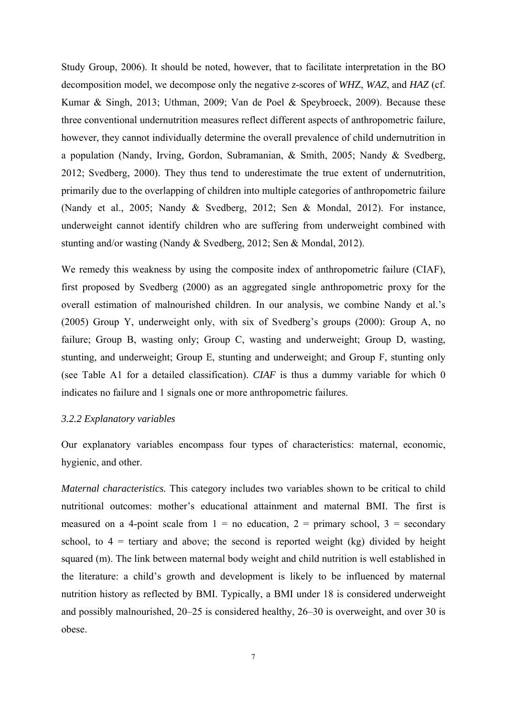Study Group, 2006). It should be noted, however, that to facilitate interpretation in the BO decomposition model, we decompose only the negative *z*-scores of *WH*Z, *WAZ*, and *HAZ* (cf. Kumar & Singh, 2013; Uthman, 2009; Van de Poel & Speybroeck, 2009). Because these three conventional undernutrition measures reflect different aspects of anthropometric failure, however, they cannot individually determine the overall prevalence of child undernutrition in a population (Nandy, Irving, Gordon, Subramanian, & Smith, 2005; Nandy & Svedberg, 2012; Svedberg, 2000). They thus tend to underestimate the true extent of undernutrition, primarily due to the overlapping of children into multiple categories of anthropometric failure (Nandy et al., 2005; Nandy & Svedberg, 2012; Sen & Mondal, 2012). For instance, underweight cannot identify children who are suffering from underweight combined with stunting and/or wasting (Nandy & Svedberg, 2012; Sen & Mondal, 2012).

We remedy this weakness by using the composite index of anthropometric failure (CIAF), first proposed by Svedberg (2000) as an aggregated single anthropometric proxy for the overall estimation of malnourished children. In our analysis, we combine Nandy et al.'s (2005) Group Y, underweight only, with six of Svedberg's groups (2000): Group A, no failure; Group B, wasting only; Group C, wasting and underweight; Group D, wasting, stunting, and underweight; Group E, stunting and underweight; and Group F, stunting only (see Table A1 for a detailed classification). *CIAF* is thus a dummy variable for which 0 indicates no failure and 1 signals one or more anthropometric failures.

#### *3.2.2 Explanatory variables*

Our explanatory variables encompass four types of characteristics: maternal, economic, hygienic, and other.

*Maternal characteristics.* This category includes two variables shown to be critical to child nutritional outcomes: mother's educational attainment and maternal BMI. The first is measured on a 4-point scale from  $1 =$  no education,  $2 =$  primary school,  $3 =$  secondary school, to  $4 =$  tertiary and above; the second is reported weight (kg) divided by height squared (m). The link between maternal body weight and child nutrition is well established in the literature: a child's growth and development is likely to be influenced by maternal nutrition history as reflected by BMI. Typically, a BMI under 18 is considered underweight and possibly malnourished, 20–25 is considered healthy, 26–30 is overweight, and over 30 is obese.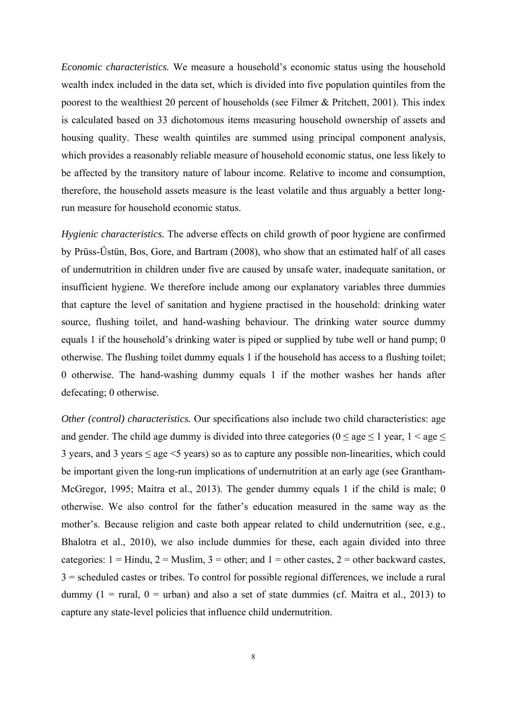*Economic characteristics.* We measure a household's economic status using the household wealth index included in the data set, which is divided into five population quintiles from the poorest to the wealthiest 20 percent of households (see Filmer & Pritchett, 2001). This index is calculated based on 33 dichotomous items measuring household ownership of assets and housing quality. These wealth quintiles are summed using principal component analysis, which provides a reasonably reliable measure of household economic status, one less likely to be affected by the transitory nature of labour income. Relative to income and consumption, therefore, the household assets measure is the least volatile and thus arguably a better longrun measure for household economic status.

*Hygienic characteristics.* The adverse effects on child growth of poor hygiene are confirmed by Prüss-Üstün, Bos, Gore, and Bartram (2008), who show that an estimated half of all cases of undernutrition in children under five are caused by unsafe water, inadequate sanitation, or insufficient hygiene. We therefore include among our explanatory variables three dummies that capture the level of sanitation and hygiene practised in the household: drinking water source, flushing toilet, and hand-washing behaviour. The drinking water source dummy equals 1 if the household's drinking water is piped or supplied by tube well or hand pump; 0 otherwise. The flushing toilet dummy equals 1 if the household has access to a flushing toilet; 0 otherwise. The hand-washing dummy equals 1 if the mother washes her hands after defecating; 0 otherwise.

*Other (control) characteristics.* Our specifications also include two child characteristics: age and gender. The child age dummy is divided into three categories ( $0 \le$  age  $\le$  1 year,  $1 \le$  age  $\le$ 3 years, and 3 years  $\leq$  age  $\leq$ 5 years) so as to capture any possible non-linearities, which could be important given the long-run implications of undernutrition at an early age (see Grantham-McGregor, 1995; Maitra et al., 2013). The gender dummy equals 1 if the child is male; 0 otherwise. We also control for the father's education measured in the same way as the mother's. Because religion and caste both appear related to child undernutrition (see, e.g., Bhalotra et al., 2010), we also include dummies for these, each again divided into three categories:  $1 =$  Hindu,  $2 =$  Muslim,  $3 =$  other; and  $1 =$  other castes,  $2 =$  other backward castes, 3 = scheduled castes or tribes. To control for possible regional differences, we include a rural dummy  $(1 = \text{rural}, 0 = \text{urban})$  and also a set of state dummies (cf. Maitra et al., 2013) to capture any state-level policies that influence child undernutrition.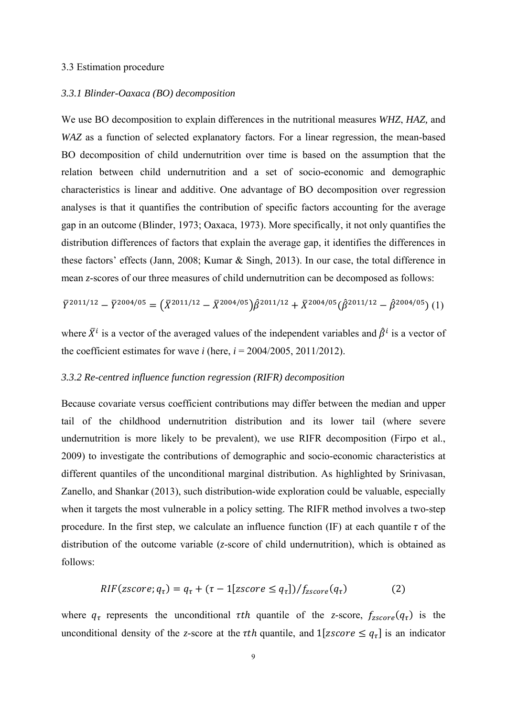#### 3.3 Estimation procedure

#### *3.3.1 Blinder-Oaxaca (BO) decomposition*

We use BO decomposition to explain differences in the nutritional measures *WHZ*, *HAZ,* and *WAZ* as a function of selected explanatory factors. For a linear regression, the mean-based BO decomposition of child undernutrition over time is based on the assumption that the relation between child undernutrition and a set of socio-economic and demographic characteristics is linear and additive. One advantage of BO decomposition over regression analyses is that it quantifies the contribution of specific factors accounting for the average gap in an outcome (Blinder, 1973; Oaxaca, 1973). More specifically, it not only quantifies the distribution differences of factors that explain the average gap, it identifies the differences in these factors' effects (Jann, 2008; Kumar & Singh, 2013). In our case, the total difference in mean *z*-scores of our three measures of child undernutrition can be decomposed as follows:

$$
\overline{Y}^{2011/12} - \overline{Y}^{2004/05} = (\overline{X}^{2011/12} - \overline{X}^{2004/05})\hat{\beta}^{2011/12} + \overline{X}^{2004/05}(\hat{\beta}^{2011/12} - \hat{\beta}^{2004/05})
$$
 (1)

where  $\bar{X}^i$  is a vector of the averaged values of the independent variables and  $\hat{\beta}^i$  is a vector of the coefficient estimates for wave *i* (here,  $i = 2004/2005$ , 2011/2012).

#### *3.3.2 Re-centred influence function regression (RIFR) decomposition*

Because covariate versus coefficient contributions may differ between the median and upper tail of the childhood undernutrition distribution and its lower tail (where severe undernutrition is more likely to be prevalent), we use RIFR decomposition (Firpo et al., 2009) to investigate the contributions of demographic and socio-economic characteristics at different quantiles of the unconditional marginal distribution. As highlighted by Srinivasan, Zanello, and Shankar (2013), such distribution-wide exploration could be valuable, especially when it targets the most vulnerable in a policy setting. The RIFR method involves a two-step procedure. In the first step, we calculate an influence function (IF) at each quantile  $\tau$  of the distribution of the outcome variable (*z*-score of child undernutrition), which is obtained as follows:

$$
RIF(zscore; q\tau) = q\tau + (\tau - 1[zscore \leq q\tau])/fzscore(q\tau)
$$
 (2)

where  $q_{\tau}$  represents the unconditional  $\tau th$  quantile of the *z*-score,  $f_{zscore}(q_{\tau})$  is the unconditional density of the *z*-score at the  $\tau$ th quantile, and  $1 \mid z \mid z \mid \leq q_{\tau}$  is an indicator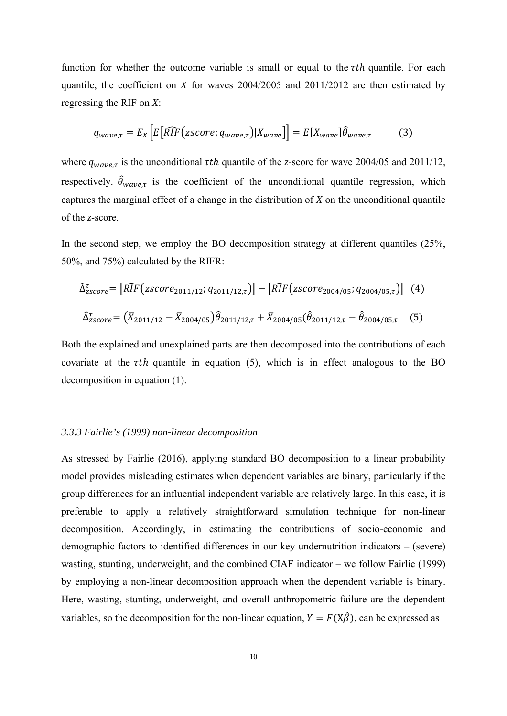function for whether the outcome variable is small or equal to the  $\tau$ th quantile. For each quantile, the coefficient on *X* for waves 2004/2005 and 2011/2012 are then estimated by regressing the RIF on *X*:

$$
q_{wave,\tau} = E_X \left[ E \left[ \widehat{RIF}(zscore; q_{wave,\tau}) | X_{wave} \right] \right] = E \left[ X_{wave} \right] \hat{\theta}_{wave,\tau} \tag{3}
$$

where  $q_{wave, \tau}$  is the unconditional  $\tau$ th quantile of the *z*-score for wave 2004/05 and 2011/12, respectively.  $\hat{\theta}_{wave,\tau}$  is the coefficient of the unconditional quantile regression, which captures the marginal effect of a change in the distribution of *X* on the unconditional quantile of the *z*-score.

In the second step, we employ the BO decomposition strategy at different quantiles (25%, 50%, and 75%) calculated by the RIFR:

$$
\hat{\Delta}_{\text{Zscore}}^{\tau} = \left[ \widehat{RIF} \left( \text{Zscore}_{2011/12}; q_{2011/12,\tau} \right) \right] - \left[ \widehat{RIF} \left( \text{Zscore}_{2004/05}; q_{2004/05,\tau} \right) \right] \tag{4}
$$
\n
$$
\hat{\Delta}_{\text{Zscore}}^{\tau} = \left( \bar{X}_{2011/12} - \bar{X}_{2004/05} \right) \hat{\theta}_{2011/12,\tau} + \bar{X}_{2004/05} \left( \hat{\theta}_{2011/12,\tau} - \hat{\theta}_{2004/05,\tau} \right) \tag{5}
$$

Both the explained and unexplained parts are then decomposed into the contributions of each covariate at the  $\tau$ th quantile in equation (5), which is in effect analogous to the BO decomposition in equation (1).

#### *3.3.3 Fairlie's (1999) non-linear decomposition*

As stressed by Fairlie (2016), applying standard BO decomposition to a linear probability model provides misleading estimates when dependent variables are binary, particularly if the group differences for an influential independent variable are relatively large. In this case, it is preferable to apply a relatively straightforward simulation technique for non-linear decomposition. Accordingly, in estimating the contributions of socio-economic and demographic factors to identified differences in our key undernutrition indicators – (severe) wasting, stunting, underweight, and the combined CIAF indicator – we follow Fairlie (1999) by employing a non-linear decomposition approach when the dependent variable is binary. Here, wasting, stunting, underweight, and overall anthropometric failure are the dependent variables, so the decomposition for the non-linear equation,  $Y = F(X\hat{\beta})$ , can be expressed as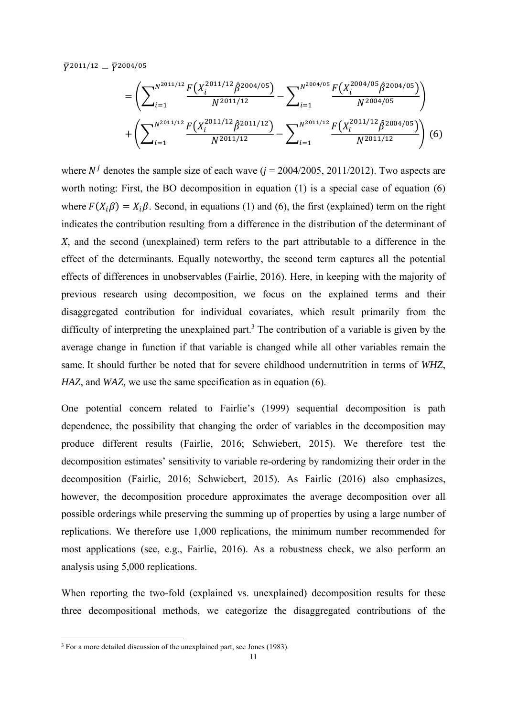$\bar{y}^{2011/12} - \bar{y}^{2004/05}$ 

$$
= \left(\sum_{i=1}^{N^{2011/12}} \frac{F(X_i^{2011/12}\hat{\beta}^{2004/05})}{N^{2011/12}} - \sum_{i=1}^{N^{2004/05}} \frac{F(X_i^{2004/05}\hat{\beta}^{2004/05})}{N^{2004/05}}\right) + \left(\sum_{i=1}^{N^{2011/12}} \frac{F(X_i^{2011/12}\hat{\beta}^{2011/12})}{N^{2011/12}} - \sum_{i=1}^{N^{2011/12}} \frac{F(X_i^{2011/12}\hat{\beta}^{2004/05})}{N^{2011/12}}\right) (6)
$$

where  $N^j$  denotes the sample size of each wave ( $j = 2004/2005$ , 2011/2012). Two aspects are worth noting: First, the BO decomposition in equation (1) is a special case of equation (6) where  $F(X_i\beta) = X_i\beta$ . Second, in equations (1) and (6), the first (explained) term on the right indicates the contribution resulting from a difference in the distribution of the determinant of *X*, and the second (unexplained) term refers to the part attributable to a difference in the effect of the determinants. Equally noteworthy, the second term captures all the potential effects of differences in unobservables (Fairlie, 2016). Here, in keeping with the majority of previous research using decomposition, we focus on the explained terms and their disaggregated contribution for individual covariates, which result primarily from the difficulty of interpreting the unexplained part.<sup>3</sup> The contribution of a variable is given by the average change in function if that variable is changed while all other variables remain the same. It should further be noted that for severe childhood undernutrition in terms of *WHZ*, *HAZ*, and *WAZ,* we use the same specification as in equation (6).

One potential concern related to Fairlie's (1999) sequential decomposition is path dependence, the possibility that changing the order of variables in the decomposition may produce different results (Fairlie, 2016; Schwiebert, 2015). We therefore test the decomposition estimates' sensitivity to variable re-ordering by randomizing their order in the decomposition (Fairlie, 2016; Schwiebert, 2015). As Fairlie (2016) also emphasizes, however, the decomposition procedure approximates the average decomposition over all possible orderings while preserving the summing up of properties by using a large number of replications. We therefore use 1,000 replications, the minimum number recommended for most applications (see, e.g., Fairlie, 2016). As a robustness check, we also perform an analysis using 5,000 replications.

When reporting the two-fold (explained vs. unexplained) decomposition results for these three decompositional methods, we categorize the disaggregated contributions of the

<sup>&</sup>lt;sup>3</sup> For a more detailed discussion of the unexplained part, see Jones (1983).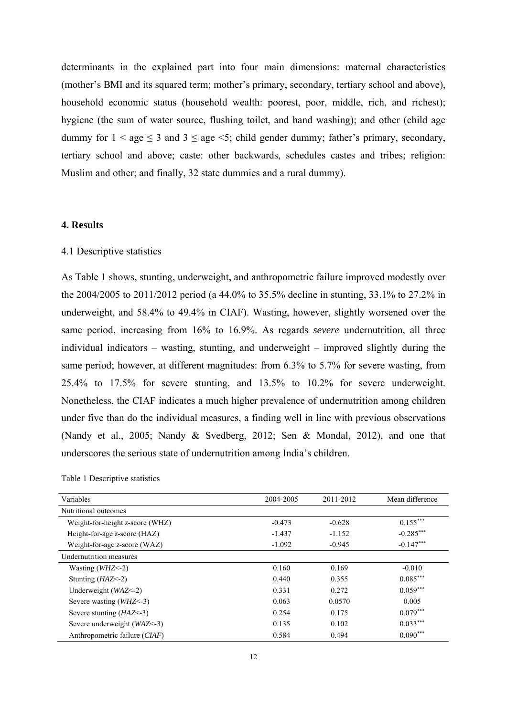determinants in the explained part into four main dimensions: maternal characteristics (mother's BMI and its squared term; mother's primary, secondary, tertiary school and above), household economic status (household wealth: poorest, poor, middle, rich, and richest); hygiene (the sum of water source, flushing toilet, and hand washing); and other (child age dummy for  $1 <$  age  $\leq 3$  and  $3 \leq$  age  $\leq 5$ ; child gender dummy; father's primary, secondary, tertiary school and above; caste: other backwards, schedules castes and tribes; religion: Muslim and other; and finally, 32 state dummies and a rural dummy).

#### **4. Results**

#### 4.1 Descriptive statistics

As Table 1 shows, stunting, underweight, and anthropometric failure improved modestly over the 2004/2005 to 2011/2012 period (a 44.0% to 35.5% decline in stunting, 33.1% to 27.2% in underweight, and 58.4% to 49.4% in CIAF). Wasting, however, slightly worsened over the same period, increasing from 16% to 16.9%. As regards *severe* undernutrition, all three individual indicators – wasting, stunting, and underweight – improved slightly during the same period; however, at different magnitudes: from 6.3% to 5.7% for severe wasting, from 25.4% to 17.5% for severe stunting, and 13.5% to 10.2% for severe underweight. Nonetheless, the CIAF indicates a much higher prevalence of undernutrition among children under five than do the individual measures, a finding well in line with previous observations (Nandy et al., 2005; Nandy & Svedberg, 2012; Sen & Mondal, 2012), and one that underscores the serious state of undernutrition among India's children.

| Variables                          | 2004-2005 | 2011-2012 | Mean difference |
|------------------------------------|-----------|-----------|-----------------|
| Nutritional outcomes               |           |           |                 |
| Weight-for-height $z$ -score (WHZ) | $-0.473$  | $-0.628$  | $0.155***$      |
| Height-for-age $z$ -score (HAZ)    | $-1.437$  | $-1.152$  | $-0.285***$     |
| Weight-for-age $z$ -score (WAZ)    | $-1.092$  | $-0.945$  | $-0.147***$     |
| Undernutrition measures            |           |           |                 |
| Wasting $(WHZ<-2)$                 | 0.160     | 0.169     | $-0.010$        |
| Stunting $(HAZ<-2)$                | 0.440     | 0.355     | $0.085***$      |
| Underweight (WAZ<-2)               | 0.331     | 0.272     | $0.059***$      |
| Severe wasting $(WHZ<-3)$          | 0.063     | 0.0570    | 0.005           |
| Severe stunting $(HAZ<-3)$         | 0.254     | 0.175     | $0.079***$      |
| Severe underweight $(WAZ<-3)$      | 0.135     | 0.102     | $0.033***$      |
| Anthropometric failure $(CIAF)$    | 0.584     | 0.494     | $0.090***$      |

Table 1 Descriptive statistics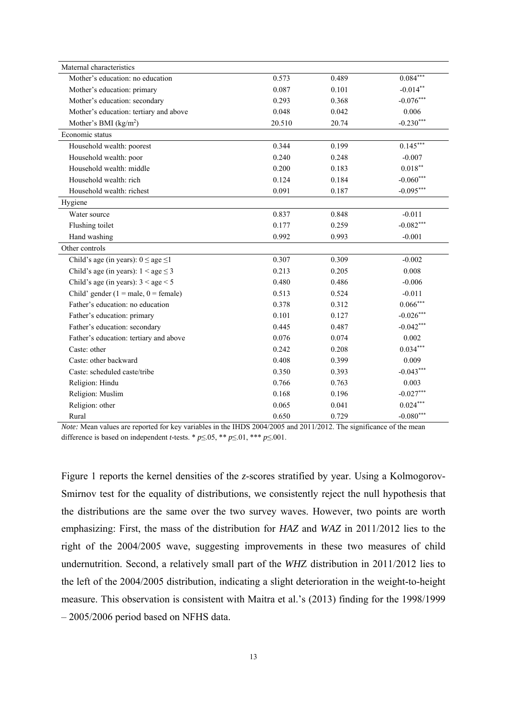| Maternal characteristics                    |        |       |             |
|---------------------------------------------|--------|-------|-------------|
| Mother's education: no education            | 0.573  | 0.489 | $0.084***$  |
| Mother's education: primary                 | 0.087  | 0.101 | $-0.014**$  |
| Mother's education: secondary               | 0.293  | 0.368 | $-0.076***$ |
| Mother's education: tertiary and above      | 0.048  | 0.042 | 0.006       |
| Mother's BMI (kg/m <sup>2</sup> )           | 20.510 | 20.74 | $-0.230***$ |
| Economic status                             |        |       |             |
| Household wealth: poorest                   | 0.344  | 0.199 | $0.145***$  |
| Household wealth: poor                      | 0.240  | 0.248 | $-0.007$    |
| Household wealth: middle                    | 0.200  | 0.183 | $0.018**$   |
| Household wealth: rich                      | 0.124  | 0.184 | $-0.060***$ |
| Household wealth: richest                   | 0.091  | 0.187 | $-0.095***$ |
| Hygiene                                     |        |       |             |
| Water source                                | 0.837  | 0.848 | $-0.011$    |
| Flushing toilet                             | 0.177  | 0.259 | $-0.082***$ |
| Hand washing                                | 0.992  | 0.993 | $-0.001$    |
| Other controls                              |        |       |             |
| Child's age (in years): $0 \le$ age $\le$ 1 | 0.307  | 0.309 | $-0.002$    |
| Child's age (in years): $1 <$ age $\leq 3$  | 0.213  | 0.205 | 0.008       |
| Child's age (in years): $3 <$ age $<$ 5     | 0.480  | 0.486 | $-0.006$    |
| Child' gender ( $1 =$ male, $0 =$ female)   | 0.513  | 0.524 | $-0.011$    |
| Father's education: no education            | 0.378  | 0.312 | $0.066***$  |
| Father's education: primary                 | 0.101  | 0.127 | $-0.026***$ |
| Father's education: secondary               | 0.445  | 0.487 | $-0.042***$ |
| Father's education: tertiary and above      | 0.076  | 0.074 | 0.002       |
| Caste: other                                | 0.242  | 0.208 | $0.034***$  |
| Caste: other backward                       | 0.408  | 0.399 | 0.009       |
| Caste: scheduled caste/tribe                | 0.350  | 0.393 | $-0.043***$ |
| Religion: Hindu                             | 0.766  | 0.763 | 0.003       |
| Religion: Muslim                            |        | 0.196 | $-0.027***$ |
|                                             | 0.168  |       |             |
| Religion: other                             | 0.065  | 0.041 | $0.024***$  |

*Note:* Mean values are reported for key variables in the IHDS 2004/2005 and 2011/2012. The significance of the mean difference is based on independent *t*-tests. \*  $p \le 0.05$ , \*\*  $p \le 0.01$ , \*\*\*  $p \le 0.001$ .

Figure 1 reports the kernel densities of the *z*-scores stratified by year. Using a Kolmogorov-Smirnov test for the equality of distributions, we consistently reject the null hypothesis that the distributions are the same over the two survey waves. However, two points are worth emphasizing: First, the mass of the distribution for *HAZ* and *WAZ* in 2011/2012 lies to the right of the 2004/2005 wave, suggesting improvements in these two measures of child undernutrition. Second, a relatively small part of the *WH*Z distribution in 2011/2012 lies to the left of the 2004/2005 distribution, indicating a slight deterioration in the weight-to-height measure. This observation is consistent with Maitra et al.'s (2013) finding for the 1998/1999 – 2005/2006 period based on NFHS data.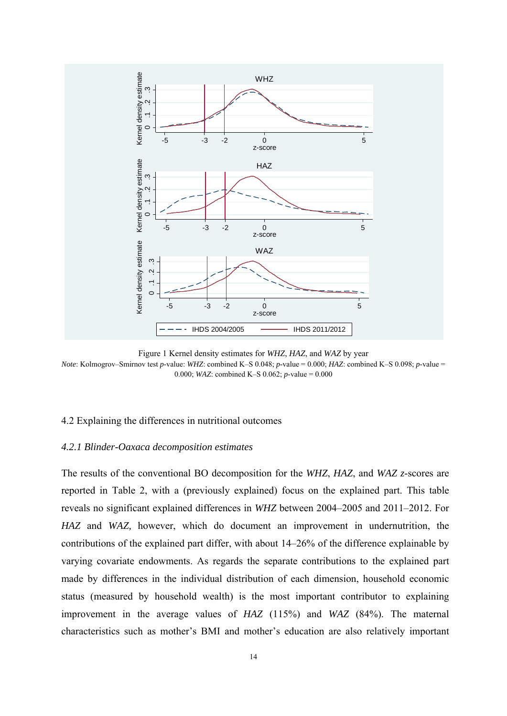

Figure 1 Kernel density estimates for *WHZ*, *HAZ*, and *WAZ* by year *Note*: Kolmogrov–Smirnov test *p*-value: *WHZ*: combined K–S 0.048; *p*-value = 0.000; *HAZ*: combined K–S 0.098; *p*-value = 0.000; *WAZ*: combined K–S 0.062; *p*-value = 0.000

#### 4.2 Explaining the differences in nutritional outcomes

#### *4.2.1 Blinder-Oaxaca decomposition estimates*

The results of the conventional BO decomposition for the *WHZ*, *HAZ*, and *WAZ z*-scores are reported in Table 2, with a (previously explained) focus on the explained part. This table reveals no significant explained differences in *WHZ* between 2004–2005 and 2011–2012. For *HAZ* and *WAZ,* however, which do document an improvement in undernutrition, the contributions of the explained part differ, with about 14–26% of the difference explainable by varying covariate endowments. As regards the separate contributions to the explained part made by differences in the individual distribution of each dimension, household economic status (measured by household wealth) is the most important contributor to explaining improvement in the average values of *HAZ* (115%) and *WAZ* (84%). The maternal characteristics such as mother's BMI and mother's education are also relatively important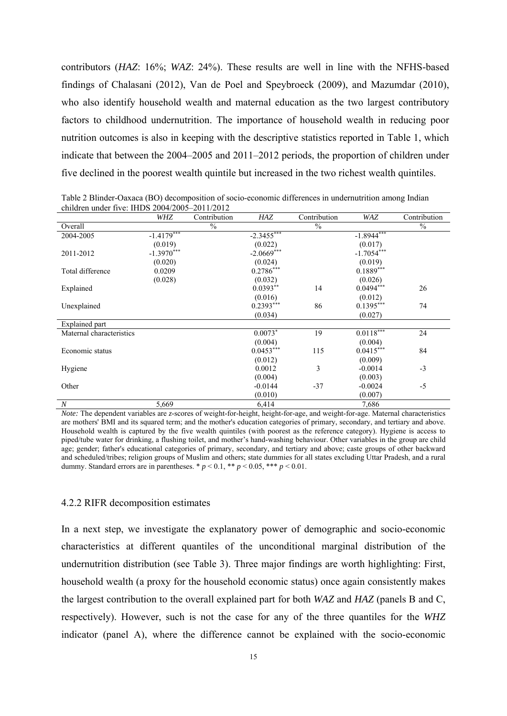contributors (*HAZ*: 16%; *WAZ*: 24%). These results are well in line with the NFHS-based findings of Chalasani (2012), Van de Poel and Speybroeck (2009), and Mazumdar (2010), who also identify household wealth and maternal education as the two largest contributory factors to childhood undernutrition. The importance of household wealth in reducing poor nutrition outcomes is also in keeping with the descriptive statistics reported in Table 1, which indicate that between the 2004–2005 and 2011–2012 periods, the proportion of children under five declined in the poorest wealth quintile but increased in the two richest wealth quintiles.

Table 2 Blinder-Oaxaca (BO) decomposition of socio-economic differences in undernutrition among Indian children under five: IHDS 2004/2005–2011/2012

|                          | WHZ          | Contribution  | HAZ          | Contribution  | WAZ          | Contribution  |
|--------------------------|--------------|---------------|--------------|---------------|--------------|---------------|
| Overall                  |              | $\frac{0}{0}$ |              | $\frac{0}{0}$ |              | $\frac{0}{0}$ |
| 2004-2005                | $-1.4179***$ |               | $-2.3455***$ |               | $-1.8944***$ |               |
|                          | (0.019)      |               | (0.022)      |               | (0.017)      |               |
| 2011-2012                | $-1.3970***$ |               | $-2.0669***$ |               | $-1.7054***$ |               |
|                          | (0.020)      |               | (0.024)      |               | (0.019)      |               |
| Total difference         | 0.0209       |               | $0.2786***$  |               | $0.1889***$  |               |
|                          | (0.028)      |               | (0.032)      |               | (0.026)      |               |
| Explained                |              |               | $0.0393**$   | 14            | $0.0494***$  | 26            |
|                          |              |               | (0.016)      |               | (0.012)      |               |
| Unexplained              |              |               | $0.2393***$  | 86            | $0.1395***$  | 74            |
|                          |              |               | (0.034)      |               | (0.027)      |               |
| <b>Explained</b> part    |              |               |              |               |              |               |
| Maternal characteristics |              |               | $0.0073*$    | 19            | $0.0118***$  | 24            |
|                          |              |               | (0.004)      |               | (0.004)      |               |
| Economic status          |              |               | $0.0453***$  | 115           | $0.0415***$  | 84            |
|                          |              |               | (0.012)      |               | (0.009)      |               |
| Hygiene                  |              |               | 0.0012       | 3             | $-0.0014$    | $-3$          |
|                          |              |               | (0.004)      |               | (0.003)      |               |
| Other                    |              |               | $-0.0144$    | $-37$         | $-0.0024$    | $-5$          |
|                          |              |               | (0.010)      |               | (0.007)      |               |
| $\boldsymbol{N}$         | 5,669        |               | 6,414        |               | 7,686        |               |

*Note:* The dependent variables are *z*-scores of weight-for-height, height-for-age, and weight-for-age. Maternal characteristics are mothers' BMI and its squared term; and the mother's education categories of primary, secondary, and tertiary and above. Household wealth is captured by the five wealth quintiles (with poorest as the reference category). Hygiene is access to piped/tube water for drinking, a flushing toilet, and mother's hand-washing behaviour. Other variables in the group are child age; gender; father's educational categories of primary, secondary, and tertiary and above; caste groups of other backward and scheduled/tribes; religion groups of Muslim and others; state dummies for all states excluding Uttar Pradesh, and a rural dummy. Standard errors are in parentheses.  $p < 0.1$ ,  $\ast p < 0.05$ ,  $\ast \ast p < 0.01$ .

#### 4.2.2 RIFR decomposition estimates

In a next step, we investigate the explanatory power of demographic and socio-economic characteristics at different quantiles of the unconditional marginal distribution of the undernutrition distribution (see Table 3). Three major findings are worth highlighting: First, household wealth (a proxy for the household economic status) once again consistently makes the largest contribution to the overall explained part for both *WAZ* and *HAZ* (panels B and C, respectively). However, such is not the case for any of the three quantiles for the *WHZ* indicator (panel A), where the difference cannot be explained with the socio-economic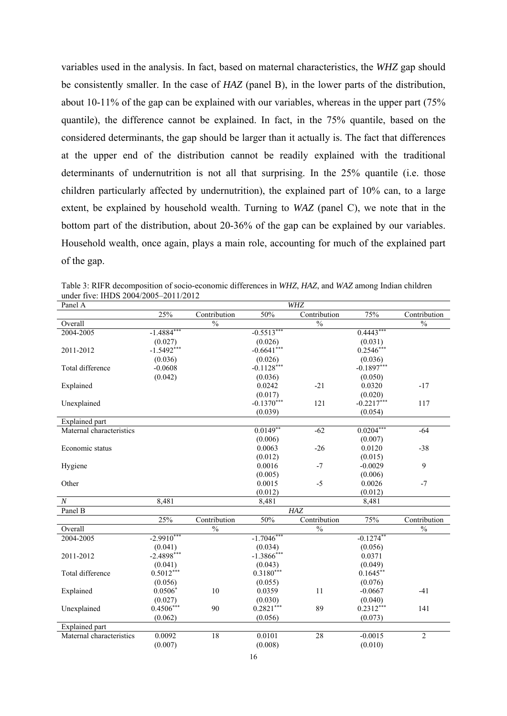variables used in the analysis. In fact, based on maternal characteristics, the *WHZ* gap should be consistently smaller. In the case of *HAZ* (panel B), in the lower parts of the distribution, about 10-11% of the gap can be explained with our variables, whereas in the upper part (75% quantile), the difference cannot be explained. In fact, in the 75% quantile, based on the considered determinants, the gap should be larger than it actually is. The fact that differences at the upper end of the distribution cannot be readily explained with the traditional determinants of undernutrition is not all that surprising. In the 25% quantile (i.e. those children particularly affected by undernutrition), the explained part of 10% can, to a large extent, be explained by household wealth. Turning to *WAZ* (panel C), we note that in the bottom part of the distribution, about 20-36% of the gap can be explained by our variables. Household wealth, once again, plays a main role, accounting for much of the explained part of the gap.

Table 3: RIFR decomposition of socio-economic differences in *WHZ*, *HAZ*, and *WAZ* among Indian children under five: IHDS 2004/2005–2011/2012

| Panel A                  |              |                          |               | WHZ                      |              |                          |
|--------------------------|--------------|--------------------------|---------------|--------------------------|--------------|--------------------------|
|                          | 25%          | Contribution             | 50%           | Contribution             | 75%          | Contribution             |
| Overall                  |              | $\overline{\frac{0}{0}}$ |               | $\overline{\frac{0}{0}}$ |              | $\overline{\frac{0}{0}}$ |
| 2004-2005                | $-1.4884***$ |                          | $-0.5513***$  |                          | $0.4443***$  |                          |
|                          | (0.027)      |                          | (0.026)       |                          | (0.031)      |                          |
| 2011-2012                | $-1.5492***$ |                          | $-0.6641***$  |                          | $0.2546***$  |                          |
|                          | (0.036)      |                          | (0.026)       |                          | (0.036)      |                          |
| Total difference         | $-0.0608$    |                          | $-0.1128***$  |                          | $-0.1897***$ |                          |
|                          | (0.042)      |                          | (0.036)       |                          | (0.050)      |                          |
| Explained                |              |                          | 0.0242        | $-21$                    | 0.0320       | $-17$                    |
|                          |              |                          | (0.017)       |                          | (0.020)      |                          |
| Unexplained              |              |                          | $-0.1370***$  | 121                      | $-0.2217***$ | 117                      |
|                          |              |                          | (0.039)       |                          | (0.054)      |                          |
| <b>Explained</b> part    |              |                          |               |                          |              |                          |
| Maternal characteristics |              |                          | $0.0149**$    | $-62$                    | $0.0204***$  | $-64$                    |
|                          |              |                          | (0.006)       |                          | (0.007)      |                          |
| Economic status          |              |                          | 0.0063        | $-26$                    | 0.0120       | $-38$                    |
|                          |              |                          | (0.012)       |                          | (0.015)      |                          |
| Hygiene                  |              |                          | 0.0016        | $-7$                     | $-0.0029$    | 9                        |
|                          |              |                          | (0.005)       |                          | (0.006)      |                          |
| Other                    |              |                          | 0.0015        | $-5$                     | 0.0026       | $-7$                     |
|                          |              |                          | (0.012)       |                          | (0.012)      |                          |
| $\boldsymbol{N}$         | 8,481        |                          | 8,481         |                          | 8,481        |                          |
| Panel B                  |              |                          |               | HAZ                      |              |                          |
|                          | 25%          | Contribution             | 50%           | Contribution             | 75%          | Contribution             |
| Overall                  |              | $\overline{\frac{0}{0}}$ |               | $\overline{\frac{0}{0}}$ |              | $\overline{\frac{0}{0}}$ |
| 2004-2005                | $-2.9910***$ |                          | $-1.7046***$  |                          | $-0.1274**$  |                          |
|                          | (0.041)      |                          | (0.034)       |                          | (0.056)      |                          |
| 2011-2012                | $-2.4898***$ |                          | $-1.3866$ *** |                          | 0.0371       |                          |
|                          | (0.041)      |                          | (0.043)       |                          | (0.049)      |                          |
| Total difference         | $0.5012***$  |                          | $0.3180***$   |                          | $0.1645**$   |                          |
|                          | (0.056)      |                          | (0.055)       |                          | (0.076)      |                          |
| Explained                | $0.0506*$    | 10                       | 0.0359        | 11                       | $-0.0667$    | $-41$                    |
|                          | (0.027)      |                          | (0.030)       |                          | (0.040)      |                          |
| Unexplained              | $0.4506***$  | 90                       | $0.2821***$   | 89                       | $0.2312***$  | 141                      |
|                          | (0.062)      |                          | (0.056)       |                          | (0.073)      |                          |
| <b>Explained</b> part    |              |                          |               |                          |              |                          |
| Maternal characteristics | 0.0092       | 18                       | 0.0101        | 28                       | $-0.0015$    | $\overline{2}$           |
|                          | (0.007)      |                          | (0.008)       |                          | (0.010)      |                          |
|                          |              |                          |               |                          |              |                          |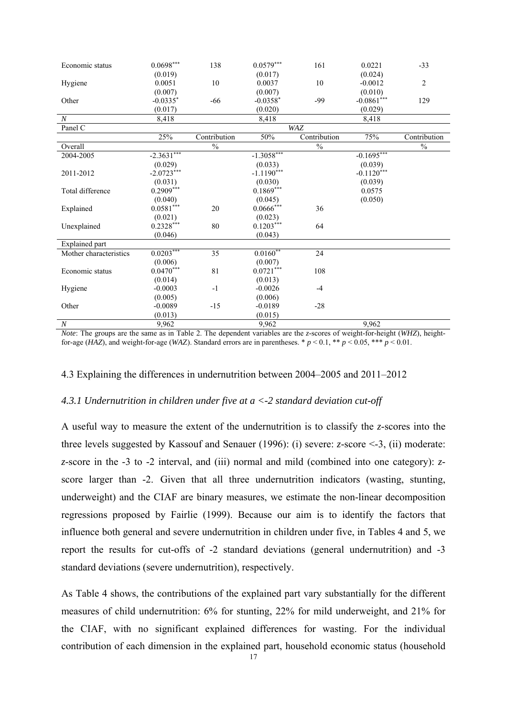| Economic status        | $0.0698***$  | 138          | $0.0579***$   | 161           | 0.0221        | $-33$          |
|------------------------|--------------|--------------|---------------|---------------|---------------|----------------|
|                        | (0.019)      |              | (0.017)       |               | (0.024)       |                |
| Hygiene                | 0.0051       | 10           | 0.0037        | 10            | $-0.0012$     | $\overline{c}$ |
|                        | (0.007)      |              | (0.007)       |               | (0.010)       |                |
| Other                  | $-0.0335*$   | $-66$        | $-0.0358*$    | $-99$         | $-0.0861$ *** | 129            |
|                        | (0.017)      |              | (0.020)       |               | (0.029)       |                |
| $\boldsymbol{N}$       | 8,418        |              | 8,418         |               | 8,418         |                |
| Panel $\overline{C}$   |              |              |               | WAZ           |               |                |
|                        | 25%          | Contribution | 50%           | Contribution  | 75%           | Contribution   |
| Overall                |              | $\%$         |               | $\frac{0}{0}$ |               | $\%$           |
| 2004-2005              | $-2.3631***$ |              | $-1.3058***$  |               | $-0.1695***$  |                |
|                        | (0.029)      |              | (0.033)       |               | (0.039)       |                |
| 2011-2012              | $-2.0723***$ |              | $-1.1190***$  |               | $-0.1120***$  |                |
|                        | (0.031)      |              | (0.030)       |               | (0.039)       |                |
| Total difference       | $0.2909***$  |              | $0.1869***$   |               | 0.0575        |                |
|                        | (0.040)      |              | (0.045)       |               | (0.050)       |                |
| Explained              | $0.0581***$  | 20           | $0.0666$ ***  | 36            |               |                |
|                        | (0.021)      |              | (0.023)       |               |               |                |
| Unexplained            | $0.2328***$  | 80           | $0.1203***$   | 64            |               |                |
|                        | (0.046)      |              | (0.043)       |               |               |                |
| <b>Explained</b> part  |              |              |               |               |               |                |
| Mother characteristics | $0.0203***$  | 35           | $0.0160^{**}$ | 24            |               |                |
|                        | (0.006)      |              | (0.007)       |               |               |                |
| Economic status        | $0.0470***$  | 81           | $0.0721***$   | 108           |               |                |
|                        | (0.014)      |              | (0.013)       |               |               |                |
| Hygiene                | $-0.0003$    | $-1$         | $-0.0026$     | $-4$          |               |                |
|                        | (0.005)      |              | (0.006)       |               |               |                |
| Other                  | $-0.0089$    | $-15$        | $-0.0189$     | $-28$         |               |                |
|                        | (0.013)      |              | (0.015)       |               |               |                |
| $\boldsymbol{N}$       | 9,962        |              | 9,962         |               | 9,962         |                |

*Note*: The groups are the same as in Table 2. The dependent variables are the *z*-scores of weight-for-height (*WHZ*), heightfor-age (*HAZ*), and weight-for-age (*WAZ*). Standard errors are in parentheses. \*  $p < 0.1$ , \*\*  $p < 0.05$ , \*\*\*  $p < 0.01$ .

#### 4.3 Explaining the differences in undernutrition between 2004–2005 and 2011–2012

#### *4.3.1 Undernutrition in children under five at a <-2 standard deviation cut-off*

A useful way to measure the extent of the undernutrition is to classify the *z*-scores into the three levels suggested by Kassouf and Senauer (1996): (i) severe: *z*-score <-3, (ii) moderate: *z*-score in the -3 to -2 interval, and (iii) normal and mild (combined into one category): *z*score larger than -2. Given that all three undernutrition indicators (wasting, stunting, underweight) and the CIAF are binary measures, we estimate the non-linear decomposition regressions proposed by Fairlie (1999). Because our aim is to identify the factors that influence both general and severe undernutrition in children under five, in Tables 4 and 5, we report the results for cut-offs of -2 standard deviations (general undernutrition) and -3 standard deviations (severe undernutrition), respectively.

As Table 4 shows, the contributions of the explained part vary substantially for the different measures of child undernutrition: 6% for stunting, 22% for mild underweight, and 21% for the CIAF, with no significant explained differences for wasting. For the individual contribution of each dimension in the explained part, household economic status (household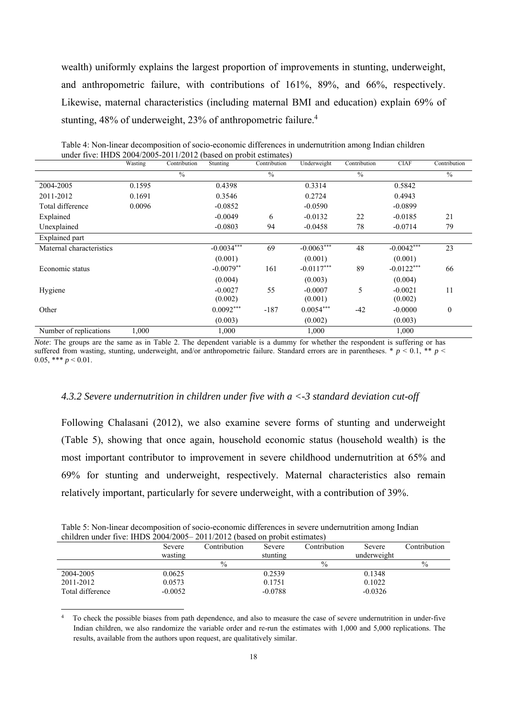wealth) uniformly explains the largest proportion of improvements in stunting, underweight, and anthropometric failure, with contributions of 161%, 89%, and 66%, respectively. Likewise, maternal characteristics (including maternal BMI and education) explain 69% of stunting, 48% of underweight, 23% of anthropometric failure.<sup>4</sup>

|                          | Wasting | Contribution  | Stunting     | Contribution  | Underweight  | Contribution  | <b>CIAF</b>  | Contribution  |
|--------------------------|---------|---------------|--------------|---------------|--------------|---------------|--------------|---------------|
|                          |         | $\frac{0}{0}$ |              | $\frac{0}{0}$ |              | $\frac{0}{0}$ |              | $\frac{0}{0}$ |
| 2004-2005                | 0.1595  |               | 0.4398       |               | 0.3314       |               | 0.5842       |               |
| 2011-2012                | 0.1691  |               | 0.3546       |               | 0.2724       |               | 0.4943       |               |
| Total difference         | 0.0096  |               | $-0.0852$    |               | $-0.0590$    |               | $-0.0899$    |               |
| Explained                |         |               | $-0.0049$    | 6             | $-0.0132$    | 22            | $-0.0185$    | 21            |
| Unexplained              |         |               | $-0.0803$    | 94            | $-0.0458$    | 78            | $-0.0714$    | 79            |
| Explained part           |         |               |              |               |              |               |              |               |
| Maternal characteristics |         |               | $-0.0034***$ | 69            | $-0.0063***$ | 48            | $-0.0042***$ | 23            |
|                          |         |               | (0.001)      |               | (0.001)      |               | (0.001)      |               |
| Economic status          |         |               | $-0.0079**$  | 161           | $-0.0117***$ | 89            | $-0.0122***$ | 66            |
|                          |         |               | (0.004)      |               | (0.003)      |               | (0.004)      |               |
| Hygiene                  |         |               | $-0.0027$    | 55            | $-0.0007$    | 5             | $-0.0021$    | 11            |
|                          |         |               | (0.002)      |               | (0.001)      |               | (0.002)      |               |
| Other                    |         |               | $0.0092***$  | $-187$        | $0.0054***$  | $-42$         | $-0.0000$    | $\theta$      |
|                          |         |               | (0.003)      |               | (0.002)      |               | (0.003)      |               |
| Number of replications   | 1.000   |               | 1,000        |               | 1,000        |               | 1,000        |               |

| Table 4: Non-linear decomposition of socio-economic differences in undernutrition among Indian children |
|---------------------------------------------------------------------------------------------------------|
| under five: IHDS $2004/2005-2011/2012$ (based on probit estimates)                                      |

*Note*: The groups are the same as in Table 2. The dependent variable is a dummy for whether the respondent is suffering or has suffered from wasting, stunting, underweight, and/or anthropometric failure. Standard errors are in parentheses. \* *p* < 0.1, \*\* *p* < 0.05, \*\*\*  $p < 0.01$ .

#### *4.3.2 Severe undernutrition in children under five with a <-3 standard deviation cut-off*

Following Chalasani (2012), we also examine severe forms of stunting and underweight (Table 5), showing that once again, household economic status (household wealth) is the most important contributor to improvement in severe childhood undernutrition at 65% and 69% for stunting and underweight, respectively. Maternal characteristics also remain relatively important, particularly for severe underweight, with a contribution of 39%.

Table 5: Non-linear decomposition of socio-economic differences in severe undernutrition among Indian children under five: IHDS 2004/2005– 2011/2012 (based on probit estimates)

|                  | Severe    | Contribution  | Severe    | Contribution | <b>Severe</b> | Contribution  |
|------------------|-----------|---------------|-----------|--------------|---------------|---------------|
|                  | wasting   |               | stunting  |              | underweight   |               |
|                  |           | $\frac{0}{0}$ |           | $\%$         |               | $\frac{0}{0}$ |
| 2004-2005        | 0.0625    |               | 0.2539    |              | 0.1348        |               |
| 2011-2012        | 0.0573    |               | 0.1751    |              | 0.1022        |               |
| Total difference | $-0.0052$ |               | $-0.0788$ |              | $-0.0326$     |               |
|                  |           |               |           |              |               |               |

<sup>4</sup> To check the possible biases from path dependence, and also to measure the case of severe undernutrition in under-five Indian children, we also randomize the variable order and re-run the estimates with 1,000 and 5,000 replications. The results, available from the authors upon request, are qualitatively similar.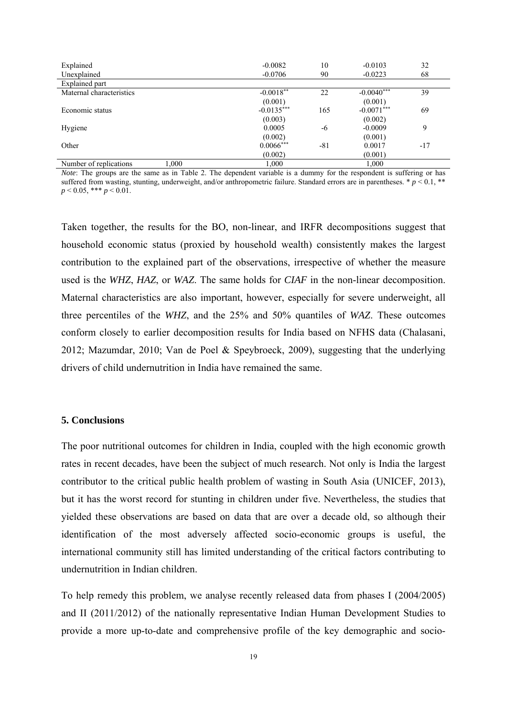| Explained                       | $-0.0082$    | 10    | $-0.0103$    | 32    |
|---------------------------------|--------------|-------|--------------|-------|
| Unexplained                     | $-0.0706$    | 90    | $-0.0223$    | 68    |
| Explained part                  |              |       |              |       |
| Maternal characteristics        | $-0.0018**$  | 22    | $-0.0040***$ | 39    |
|                                 | (0.001)      |       | (0.001)      |       |
| Economic status                 | $-0.0135***$ | 165   | $-0.0071***$ | 69    |
|                                 | (0.003)      |       | (0.002)      |       |
| Hygiene                         | 0.0005       | -6    | $-0.0009$    | 9     |
|                                 | (0.002)      |       | (0.001)      |       |
| Other                           | $0.0066***$  | $-81$ | 0.0017       | $-17$ |
|                                 | (0.002)      |       | (0.001)      |       |
| 1.000<br>Number of replications | 1,000        |       | 1,000        |       |

*Note*: The groups are the same as in Table 2. The dependent variable is a dummy for the respondent is suffering or has suffered from wasting, stunting, underweight, and/or anthropometric failure. Standard errors are in parentheses.  $p < 0.1$ , \*\*  $p < 0.05$ , \*\*\*  $p < 0.01$ .

Taken together, the results for the BO, non-linear, and IRFR decompositions suggest that household economic status (proxied by household wealth) consistently makes the largest contribution to the explained part of the observations, irrespective of whether the measure used is the *WHZ*, *HAZ*, or *WAZ*. The same holds for *CIAF* in the non-linear decomposition. Maternal characteristics are also important, however, especially for severe underweight, all three percentiles of the *WHZ*, and the 25% and 50% quantiles of *WAZ*. These outcomes conform closely to earlier decomposition results for India based on NFHS data (Chalasani, 2012; Mazumdar, 2010; Van de Poel & Speybroeck, 2009), suggesting that the underlying drivers of child undernutrition in India have remained the same.

#### **5. Conclusions**

The poor nutritional outcomes for children in India, coupled with the high economic growth rates in recent decades, have been the subject of much research. Not only is India the largest contributor to the critical public health problem of wasting in South Asia (UNICEF, 2013), but it has the worst record for stunting in children under five. Nevertheless, the studies that yielded these observations are based on data that are over a decade old, so although their identification of the most adversely affected socio-economic groups is useful, the international community still has limited understanding of the critical factors contributing to undernutrition in Indian children.

To help remedy this problem, we analyse recently released data from phases I (2004/2005) and II (2011/2012) of the nationally representative Indian Human Development Studies to provide a more up-to-date and comprehensive profile of the key demographic and socio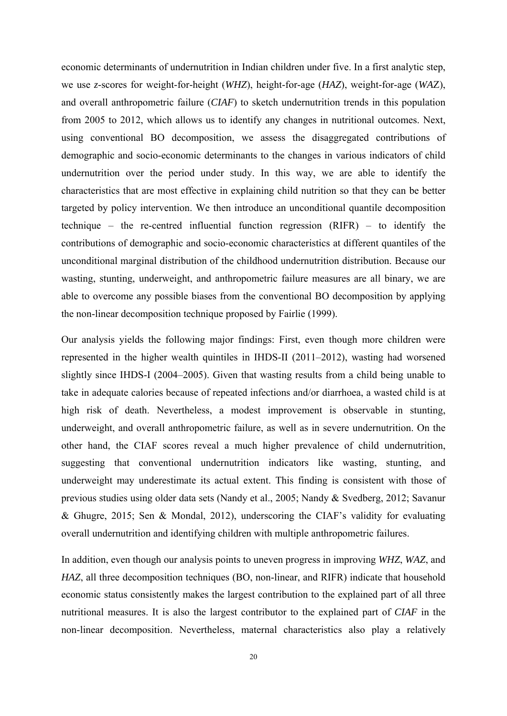economic determinants of undernutrition in Indian children under five. In a first analytic step, we use *z*-scores for weight-for-height (*WHZ*), height-for-age (*HAZ*), weight-for-age (*WA*Z), and overall anthropometric failure (*CIAF*) to sketch undernutrition trends in this population from 2005 to 2012, which allows us to identify any changes in nutritional outcomes. Next, using conventional BO decomposition, we assess the disaggregated contributions of demographic and socio-economic determinants to the changes in various indicators of child undernutrition over the period under study. In this way, we are able to identify the characteristics that are most effective in explaining child nutrition so that they can be better targeted by policy intervention. We then introduce an unconditional quantile decomposition technique – the re-centred influential function regression (RIFR) – to identify the contributions of demographic and socio-economic characteristics at different quantiles of the unconditional marginal distribution of the childhood undernutrition distribution. Because our wasting, stunting, underweight, and anthropometric failure measures are all binary, we are able to overcome any possible biases from the conventional BO decomposition by applying the non-linear decomposition technique proposed by Fairlie (1999).

Our analysis yields the following major findings: First, even though more children were represented in the higher wealth quintiles in IHDS-II (2011–2012), wasting had worsened slightly since IHDS-I (2004–2005). Given that wasting results from a child being unable to take in adequate calories because of repeated infections and/or diarrhoea, a wasted child is at high risk of death. Nevertheless, a modest improvement is observable in stunting, underweight, and overall anthropometric failure, as well as in severe undernutrition. On the other hand, the CIAF scores reveal a much higher prevalence of child undernutrition, suggesting that conventional undernutrition indicators like wasting, stunting, and underweight may underestimate its actual extent. This finding is consistent with those of previous studies using older data sets (Nandy et al., 2005; Nandy & Svedberg, 2012; Savanur & Ghugre, 2015; Sen & Mondal, 2012), underscoring the CIAF's validity for evaluating overall undernutrition and identifying children with multiple anthropometric failures.

In addition, even though our analysis points to uneven progress in improving *WHZ*, *WAZ*, and *HAZ*, all three decomposition techniques (BO, non-linear, and RIFR) indicate that household economic status consistently makes the largest contribution to the explained part of all three nutritional measures. It is also the largest contributor to the explained part of *CIAF* in the non-linear decomposition. Nevertheless, maternal characteristics also play a relatively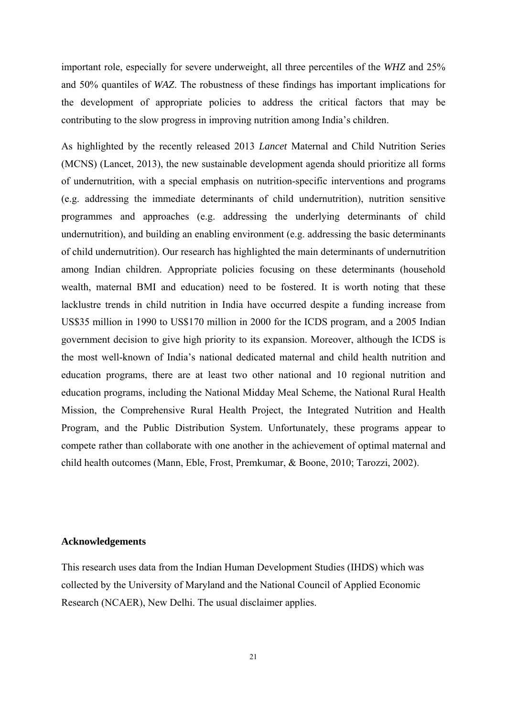important role, especially for severe underweight, all three percentiles of the *WHZ* and 25% and 50% quantiles of *WAZ*. The robustness of these findings has important implications for the development of appropriate policies to address the critical factors that may be contributing to the slow progress in improving nutrition among India's children.

As highlighted by the recently released 2013 *Lancet* Maternal and Child Nutrition Series (MCNS) (Lancet, 2013), the new sustainable development agenda should prioritize all forms of undernutrition, with a special emphasis on nutrition-specific interventions and programs (e.g. addressing the immediate determinants of child undernutrition), nutrition sensitive programmes and approaches (e.g. addressing the underlying determinants of child undernutrition), and building an enabling environment (e.g. addressing the basic determinants of child undernutrition). Our research has highlighted the main determinants of undernutrition among Indian children. Appropriate policies focusing on these determinants (household wealth, maternal BMI and education) need to be fostered. It is worth noting that these lacklustre trends in child nutrition in India have occurred despite a funding increase from US\$35 million in 1990 to US\$170 million in 2000 for the ICDS program, and a 2005 Indian government decision to give high priority to its expansion. Moreover, although the ICDS is the most well-known of India's national dedicated maternal and child health nutrition and education programs, there are at least two other national and 10 regional nutrition and education programs, including the National Midday Meal Scheme, the National Rural Health Mission, the Comprehensive Rural Health Project, the Integrated Nutrition and Health Program, and the Public Distribution System. Unfortunately, these programs appear to compete rather than collaborate with one another in the achievement of optimal maternal and child health outcomes (Mann, Eble, Frost, Premkumar, & Boone, 2010; Tarozzi, 2002).

#### **Acknowledgements**

This research uses data from the Indian Human Development Studies (IHDS) which was collected by the University of Maryland and the National Council of Applied Economic Research (NCAER), New Delhi. The usual disclaimer applies.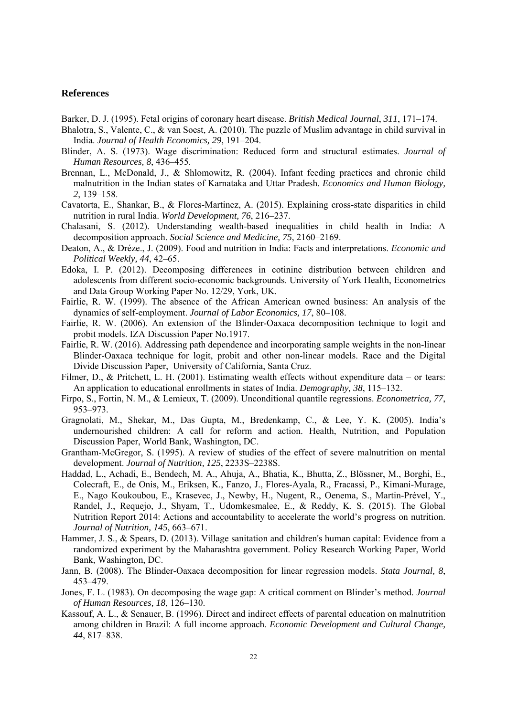#### **References**

- Barker, D. J. (1995). Fetal origins of coronary heart disease. *British Medical Journal*, *311*, 171–174.
- Bhalotra, S., Valente, C., & van Soest, A. (2010). The puzzle of Muslim advantage in child survival in India. *Journal of Health Economics, 29*, 191–204.
- Blinder, A. S. (1973). Wage discrimination: Reduced form and structural estimates. *Journal of Human Resources, 8*, 436–455.
- Brennan, L., McDonald, J., & Shlomowitz, R. (2004). Infant feeding practices and chronic child malnutrition in the Indian states of Karnataka and Uttar Pradesh. *Economics and Human Biology, 2*, 139–158.
- Cavatorta, E., Shankar, B., & Flores-Martinez, A. (2015). Explaining cross-state disparities in child nutrition in rural India. *World Development, 76*, 216–237.
- Chalasani, S. (2012). Understanding wealth-based inequalities in child health in India: A decomposition approach. *Social Science and Medicine, 75*, 2160–2169.
- Deaton, A., & Dréze., J. (2009). Food and nutrition in India: Facts and interpretations. *Economic and Political Weekly, 44*, 42–65.
- Edoka, I. P. (2012). Decomposing differences in cotinine distribution between children and adolescents from different socio-economic backgrounds. University of York Health, Econometrics and Data Group Working Paper No. 12/29, York, UK.
- Fairlie, R. W. (1999). The absence of the African American owned business: An analysis of the dynamics of self-employment. *Journal of Labor Economics, 17*, 80–108.
- Fairlie, R. W. (2006). An extension of the Blinder-Oaxaca decomposition technique to logit and probit models. IZA Discussion Paper No.1917.
- Fairlie, R. W. (2016). Addressing path dependence and incorporating sample weights in the non-linear Blinder-Oaxaca technique for logit, probit and other non-linear models. Race and the Digital Divide Discussion Paper, University of California, Santa Cruz.
- Filmer, D., & Pritchett, L. H. (2001). Estimating wealth effects without expenditure data or tears: An application to educational enrollments in states of India. *Demography, 38*, 115–132.
- Firpo, S., Fortin, N. M., & Lemieux, T. (2009). Unconditional quantile regressions. *Econometrica, 77*, 953–973.
- Gragnolati, M., Shekar, M., Das Gupta, M., Bredenkamp, C., & Lee, Y. K. (2005). India's undernourished children: A call for reform and action. Health, Nutrition, and Population Discussion Paper, World Bank, Washington, DC.
- Grantham-McGregor, S. (1995). A review of studies of the effect of severe malnutrition on mental development. *Journal of Nutrition, 125*, 2233S–2238S.
- Haddad, L., Achadi, E., Bendech, M. A., Ahuja, A., Bhatia, K., Bhutta, Z., Blössner, M., Borghi, E., Colecraft, E., de Onis, M., Eriksen, K., Fanzo, J., Flores-Ayala, R., Fracassi, P., Kimani-Murage, E., Nago Koukoubou, E., Krasevec, J., Newby, H., Nugent, R., Oenema, S., Martin-Prével, Y., Randel, J., Requejo, J., Shyam, T., Udomkesmalee, E., & Reddy, K. S. (2015). The Global Nutrition Report 2014: Actions and accountability to accelerate the world's progress on nutrition. *Journal of Nutrition, 145*, 663–671.
- Hammer, J. S., & Spears, D. (2013). Village sanitation and children's human capital: Evidence from a randomized experiment by the Maharashtra government. Policy Research Working Paper, World Bank, Washington, DC.
- Jann, B. (2008). The Blinder-Oaxaca decomposition for linear regression models. *Stata Journal, 8*, 453–479.
- Jones, F. L. (1983). On decomposing the wage gap: A critical comment on Blinder's method. *Journal of Human Resources, 18*, 126–130.
- Kassouf, A. L., & Senauer, B. (1996). Direct and indirect effects of parental education on malnutrition among children in Brazil: A full income approach. *Economic Development and Cultural Change, 44*, 817–838.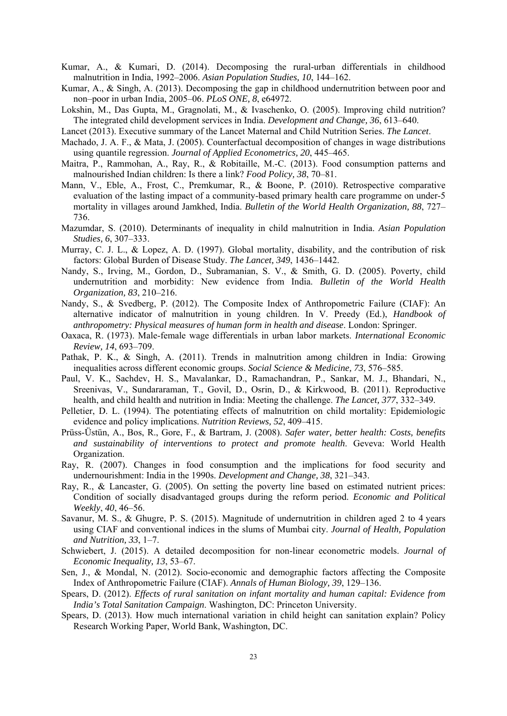- Kumar, A., & Kumari, D. (2014). Decomposing the rural-urban differentials in childhood malnutrition in India, 1992–2006. *Asian Population Studies, 10*, 144–162.
- Kumar, A., & Singh, A. (2013). Decomposing the gap in childhood undernutrition between poor and non–poor in urban India, 2005–06. *PLoS ONE, 8*, e64972.
- Lokshin, M., Das Gupta, M., Gragnolati, M., & Ivaschenko, O. (2005). Improving child nutrition? The integrated child development services in India. *Development and Change, 36*, 613–640.
- Lancet (2013). Executive summary of the Lancet Maternal and Child Nutrition Series. *The Lancet*.
- Machado, J. A. F., & Mata, J. (2005). Counterfactual decomposition of changes in wage distributions using quantile regression. *Journal of Applied Econometrics, 20*, 445–465.
- Maitra, P., Rammohan, A., Ray, R., & Robitaille, M.-C. (2013). Food consumption patterns and malnourished Indian children: Is there a link? *Food Policy, 38*, 70–81.
- Mann, V., Eble, A., Frost, C., Premkumar, R., & Boone, P. (2010). Retrospective comparative evaluation of the lasting impact of a community-based primary health care programme on under-5 mortality in villages around Jamkhed, India. *Bulletin of the World Health Organization, 88*, 727– 736.
- Mazumdar, S. (2010). Determinants of inequality in child malnutrition in India. *Asian Population Studies, 6*, 307–333.
- Murray, C. J. L., & Lopez, A. D. (1997). Global mortality, disability, and the contribution of risk factors: Global Burden of Disease Study. *The Lancet, 349*, 1436–1442.
- Nandy, S., Irving, M., Gordon, D., Subramanian, S. V., & Smith, G. D. (2005). Poverty, child undernutrition and morbidity: New evidence from India. *Bulletin of the World Health Organization, 83*, 210–216.
- Nandy, S., & Svedberg, P. (2012). The Composite Index of Anthropometric Failure (CIAF): An alternative indicator of malnutrition in young children. In V. Preedy (Ed.), *Handbook of anthropometry: Physical measures of human form in health and disease*. London: Springer.
- Oaxaca, R. (1973). Male-female wage differentials in urban labor markets. *International Economic Review, 14*, 693–709.
- Pathak, P. K., & Singh, A. (2011). Trends in malnutrition among children in India: Growing inequalities across different economic groups. *Social Science & Medicine, 73*, 576–585.
- Paul, V. K., Sachdev, H. S., Mavalankar, D., Ramachandran, P., Sankar, M. J., Bhandari, N., Sreenivas, V., Sundararaman, T., Govil, D., Osrin, D., & Kirkwood, B. (2011). Reproductive health, and child health and nutrition in India: Meeting the challenge. *The Lancet, 377*, 332–349.
- Pelletier, D. L. (1994). The potentiating effects of malnutrition on child mortality: Epidemiologic evidence and policy implications. *Nutrition Reviews, 52*, 409–415.
- Prüss-Üstün, A., Bos, R., Gore, F., & Bartram, J. (2008). *Safer water, better health: Costs, benefits and sustainability of interventions to protect and promote health*. Geveva: World Health Organization.
- Ray, R. (2007). Changes in food consumption and the implications for food security and undernourishment: India in the 1990s. *Development and Change, 38*, 321–343.
- Ray, R., & Lancaster, G. (2005). On setting the poverty line based on estimated nutrient prices: Condition of socially disadvantaged groups during the reform period. *Economic and Political Weekly*, *40*, 46–56.
- Savanur, M. S., & Ghugre, P. S. (2015). Magnitude of undernutrition in children aged 2 to 4 years using CIAF and conventional indices in the slums of Mumbai city. *Journal of Health, Population and Nutrition, 33*, 1–7.
- Schwiebert, J. (2015). A detailed decomposition for non-linear econometric models. *Journal of Economic Inequality, 13*, 53–67.
- Sen, J., & Mondal, N. (2012). Socio-economic and demographic factors affecting the Composite Index of Anthropometric Failure (CIAF). *Annals of Human Biology, 39*, 129–136.
- Spears, D. (2012). *Effects of rural sanitation on infant mortality and human capital: Evidence from India's Total Sanitation Campaign*. Washington, DC: Princeton University.
- Spears, D. (2013). How much international variation in child height can sanitation explain? Policy Research Working Paper, World Bank, Washington, DC.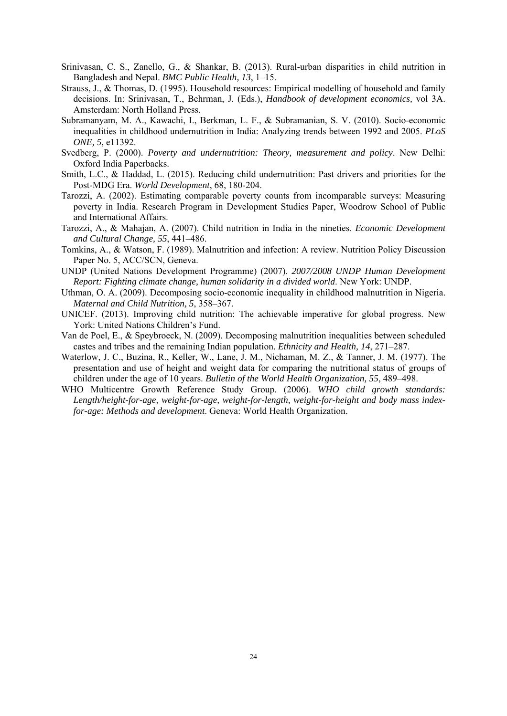- Srinivasan, C. S., Zanello, G., & Shankar, B. (2013). Rural-urban disparities in child nutrition in Bangladesh and Nepal. *BMC Public Health, 13*, 1–15.
- Strauss, J., & Thomas, D. (1995). Household resources: Empirical modelling of household and family decisions. In: Srinivasan, T., Behrman, J. (Eds.), *Handbook of development economics,* vol 3A. Amsterdam: North Holland Press.
- Subramanyam, M. A., Kawachi, I., Berkman, L. F., & Subramanian, S. V. (2010). Socio-economic inequalities in childhood undernutrition in India: Analyzing trends between 1992 and 2005. *PLoS ONE, 5*, e11392.
- Svedberg, P. (2000). *Poverty and undernutrition: Theory, measurement and policy*. New Delhi: Oxford India Paperbacks.
- Smith, L.C., & Haddad, L. (2015). Reducing child undernutrition: Past drivers and priorities for the Post-MDG Era. *World Development*, 68, 180-204.
- Tarozzi, A. (2002). Estimating comparable poverty counts from incomparable surveys: Measuring poverty in India. Research Program in Development Studies Paper, Woodrow School of Public and International Affairs.
- Tarozzi, A., & Mahajan, A. (2007). Child nutrition in India in the nineties. *Economic Development and Cultural Change, 55*, 441–486.
- Tomkins, A., & Watson, F. (1989). Malnutrition and infection: A review. Nutrition Policy Discussion Paper No. 5, ACC/SCN, Geneva.
- UNDP (United Nations Development Programme) (2007). *2007/2008 UNDP Human Development Report: Fighting climate change, human solidarity in a divided world*. New York: UNDP.
- Uthman, O. A. (2009). Decomposing socio-economic inequality in childhood malnutrition in Nigeria. *Maternal and Child Nutrition, 5*, 358–367.
- UNICEF. (2013). Improving child nutrition: The achievable imperative for global progress. New York: United Nations Children's Fund.
- Van de Poel, E., & Speybroeck, N. (2009). Decomposing malnutrition inequalities between scheduled castes and tribes and the remaining Indian population. *Ethnicity and Health, 14*, 271–287.
- Waterlow, J. C., Buzina, R., Keller, W., Lane, J. M., Nichaman, M. Z., & Tanner, J. M. (1977). The presentation and use of height and weight data for comparing the nutritional status of groups of children under the age of 10 years. *Bulletin of the World Health Organization, 55*, 489–498.
- WHO Multicentre Growth Reference Study Group. (2006). *WHO child growth standards: Length/height-for-age, weight-for-age, weight-for-length, weight-for-height and body mass indexfor-age: Methods and development*. Geneva: World Health Organization.